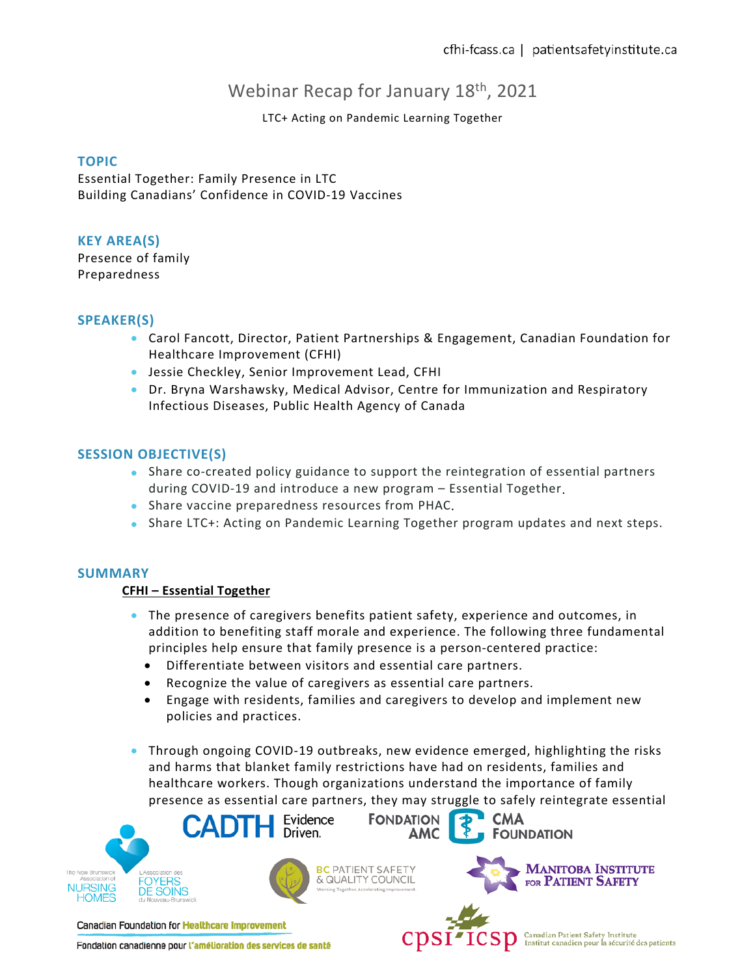# Webinar Recap for January 18<sup>th</sup>, 2021

## LTC+ Acting on Pandemic Learning Together

## **TOPIC**

Essential Together: Family Presence in LTC Building Canadians' Confidence in COVID-19 Vaccines

## **KEY AREA(S)**

Presence of family Preparedness

## **SPEAKER(S)**

- Carol Fancott, Director, Patient Partnerships & Engagement, Canadian Foundation for Healthcare Improvement (CFHI)
- Jessie Checkley, Senior Improvement Lead, CFHI
- Dr. Bryna Warshawsky, Medical Advisor, Centre for Immunization and Respiratory Infectious Diseases, Public Health Agency of Canada

## **SESSION OBJECTIVE(S)**

- Share co-created policy guidance to support the reintegration of essential partners during COVID-19 and introduce a new program – Essential Together.
- Share vaccine preparedness resources from PHAC.
- Share LTC+: Acting on Pandemic Learning Together program updates and next steps.

#### **SUMMARY**

#### **CFHI – Essential Together**

- The presence of caregivers benefits patient safety, experience and outcomes, in addition to benefiting staff morale and experience. The following three fundamental principles help ensure that family presence is a person-centered practice:
	- Differentiate between visitors and essential care partners.
	- Recognize the value of caregivers as essential care partners.
	- Engage with residents, families and caregivers to develop and implement new policies and practices.
- Through ongoing COVID-19 outbreaks, new evidence emerged, highlighting the risks and harms that blanket family restrictions have had on residents, families and healthcare workers. Though organizations understand the importance of family presence as essential care partners, they may struggle to safely reintegrate essential



Fondation canadienne pour l'amélioration des services de santé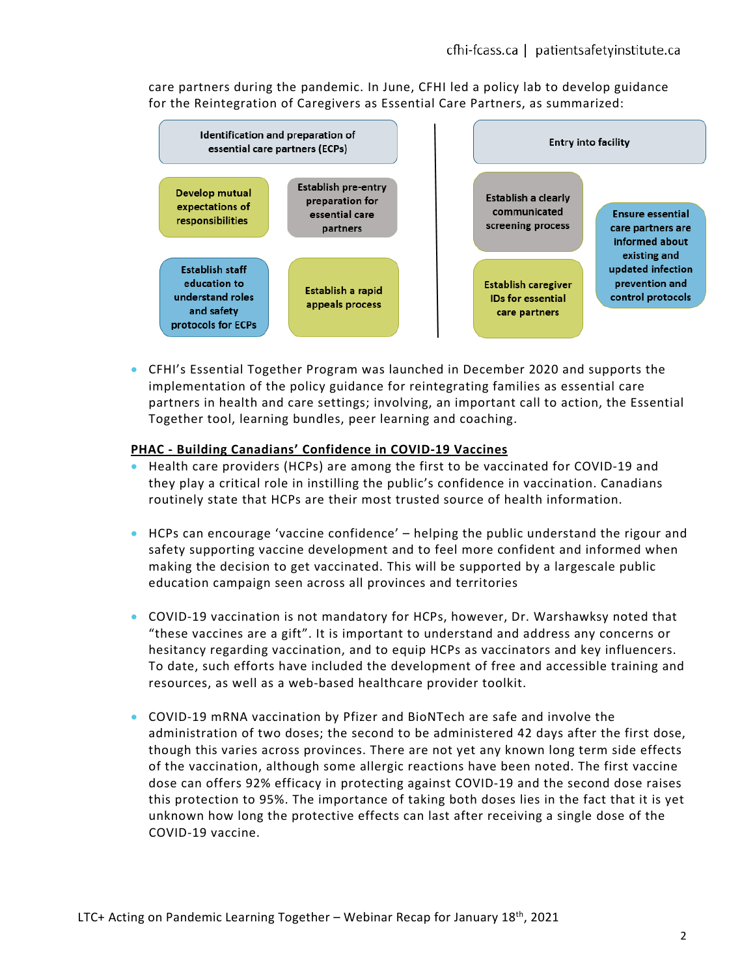care partners during the pandemic. In June, CFHI led a policy lab to develop guidance for the Reintegration of Caregivers as Essential Care Partners, as summarized:



• CFHI's Essential Together Program was launched in December 2020 and supports the implementation of the policy guidance for reintegrating families as essential care partners in health and care settings; involving, an important call to action, the Essential Together tool, learning bundles, peer learning and coaching.

#### **PHAC - Building Canadians' Confidence in COVID-19 Vaccines**

- Health care providers (HCPs) are among the first to be vaccinated for COVID-19 and they play a critical role in instilling the public's confidence in vaccination. Canadians routinely state that HCPs are their most trusted source of health information.
- HCPs can encourage 'vaccine confidence' helping the public understand the rigour and safety supporting vaccine development and to feel more confident and informed when making the decision to get vaccinated. This will be supported by a largescale public education campaign seen across all provinces and territories
- COVID-19 vaccination is not mandatory for HCPs, however, Dr. Warshawksy noted that "these vaccines are a gift". It is important to understand and address any concerns or hesitancy regarding vaccination, and to equip HCPs as vaccinators and key influencers. To date, such efforts have included the development of free and accessible training and resources, as well as a web-based healthcare provider toolkit.
- COVID-19 mRNA vaccination by Pfizer and BioNTech are safe and involve the administration of two doses; the second to be administered 42 days after the first dose, though this varies across provinces. There are not yet any known long term side effects of the vaccination, although some allergic reactions have been noted. The first vaccine dose can offers 92% efficacy in protecting against COVID-19 and the second dose raises this protection to 95%. The importance of taking both doses lies in the fact that it is yet unknown how long the protective effects can last after receiving a single dose of the COVID-19 vaccine.